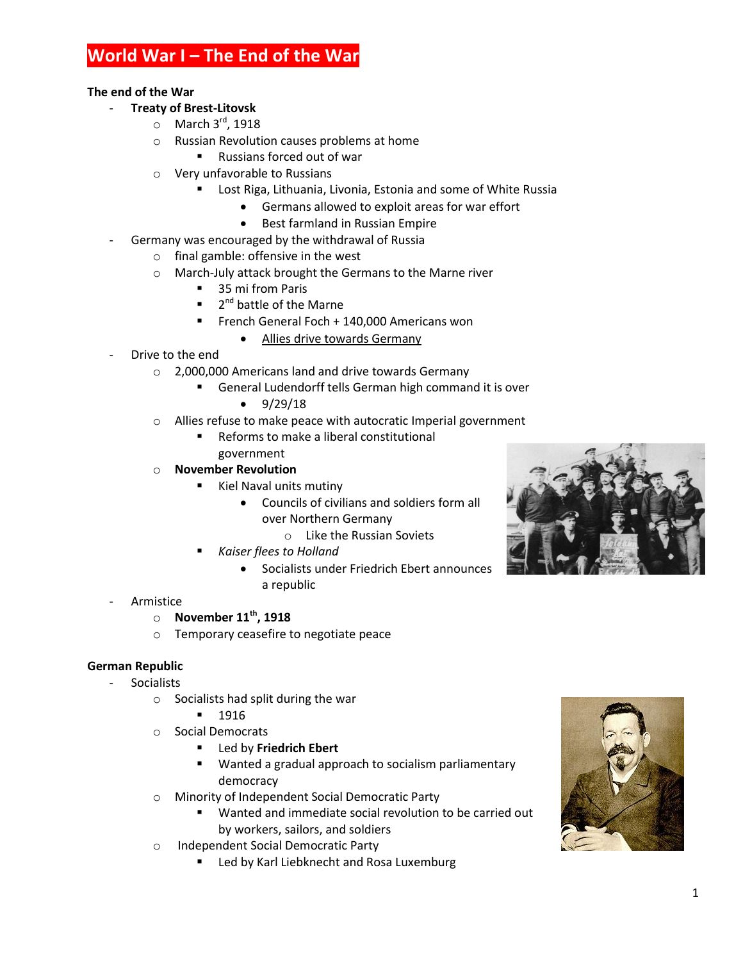# **World War I – The End of the War**

#### **The end of the War**

#### - **Treaty of Brest-Litovsk**

- $\circ$  March 3<sup>rd</sup>, 1918
- o Russian Revolution causes problems at home
	- Russians forced out of war
- o Very unfavorable to Russians
	- Lost Riga, Lithuania, Livonia, Estonia and some of White Russia
		- Germans allowed to exploit areas for war effort
		- Best farmland in Russian Empire
- Germany was encouraged by the withdrawal of Russia
	- o final gamble: offensive in the west
	- o March-July attack brought the Germans to the Marne river
		- **35 mi from Paris**
		- 2<sup>nd</sup> battle of the Marne
		- French General Foch + 140,000 Americans won
			- Allies drive towards Germany
- Drive to the end
	- o 2,000,000 Americans land and drive towards Germany
		- General Ludendorff tells German high command it is over
			- $\bullet$  9/29/18
	- o Allies refuse to make peace with autocratic Imperial government
		- Reforms to make a liberal constitutional government
	- o **November Revolution**
		- Kiel Naval units mutiny
			- Councils of civilians and soldiers form all over Northern Germany
				- o Like the Russian Soviets
		- *Kaiser flees to Holland*
			- Socialists under Friedrich Ebert announces a republic
- **Armistice** 
	- o **November 11th, 1918**
	- o Temporary ceasefire to negotiate peace

# **German Republic**

- Socialists
	- o Socialists had split during the war
		- 1916
	- o Social Democrats
		- Led by **Friedrich Ebert**
		- Wanted a gradual approach to socialism parliamentary democracy
	- o Minority of Independent Social Democratic Party
		- Wanted and immediate social revolution to be carried out by workers, sailors, and soldiers
	- o Independent Social Democratic Party
		- Led by Karl Liebknecht and Rosa Luxemburg



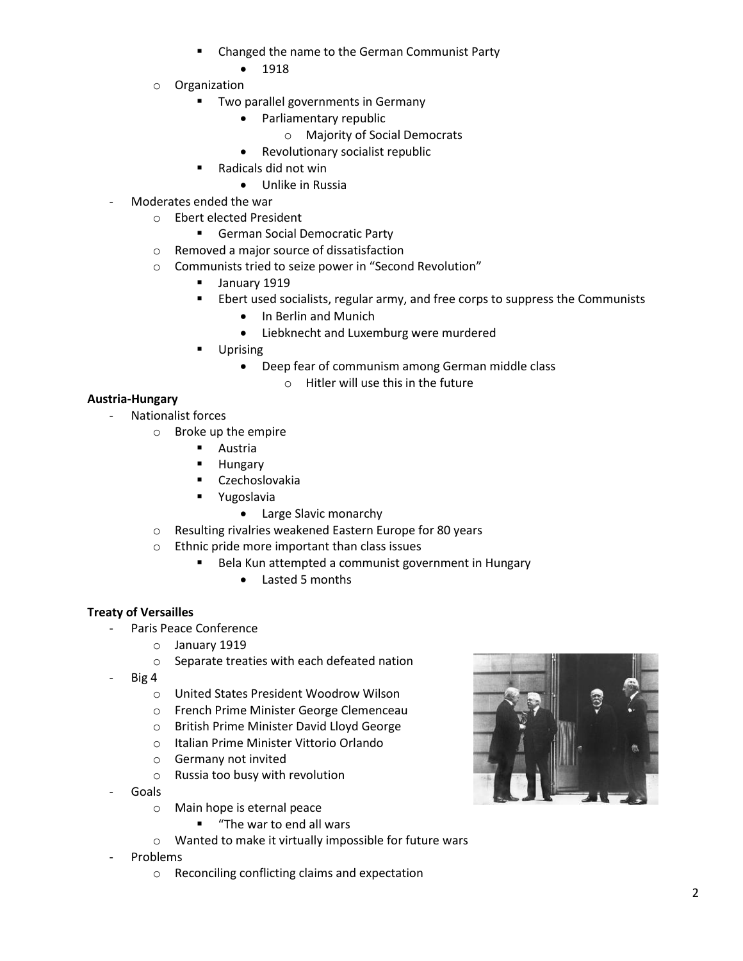- Changed the name to the German Communist Party
	- 1918
- o Organization
	- **Two parallel governments in Germany** 
		- Parliamentary republic
			- o Majority of Social Democrats
		- Revolutionary socialist republic
	- Radicals did not win
		- Unlike in Russia
- Moderates ended the war
	- o Ebert elected President
		- **German Social Democratic Party**
	- o Removed a major source of dissatisfaction
	- o Communists tried to seize power in "Second Revolution"
		- **January 1919**
		- **Ebert used socialists, regular army, and free corps to suppress the Communists** 
			- In Berlin and Munich
			- Liebknecht and Luxemburg were murdered
		- Uprising
			- Deep fear of communism among German middle class
				- $\circ$  Hitler will use this in the future

# **Austria-Hungary**

- Nationalist forces
	- o Broke up the empire
		- Austria
		- **Hungary**
		- Czechoslovakia
		- **•** Yugoslavia
			- Large Slavic monarchy
		- o Resulting rivalries weakened Eastern Europe for 80 years
		- o Ethnic pride more important than class issues
			- Bela Kun attempted a communist government in Hungary
				- Lasted 5 months

# **Treaty of Versailles**

- Paris Peace Conference
	- o January 1919
	- o Separate treaties with each defeated nation
- Big 4
	- o United States President Woodrow Wilson
	- o French Prime Minister George Clemenceau
	- o British Prime Minister David Lloyd George
	- o Italian Prime Minister Vittorio Orlando
	- o Germany not invited
	- o Russia too busy with revolution
- Goals
	- o Main hope is eternal peace
		- **"** "The war to end all wars
	- o Wanted to make it virtually impossible for future wars
- **Problems** 
	- o Reconciling conflicting claims and expectation

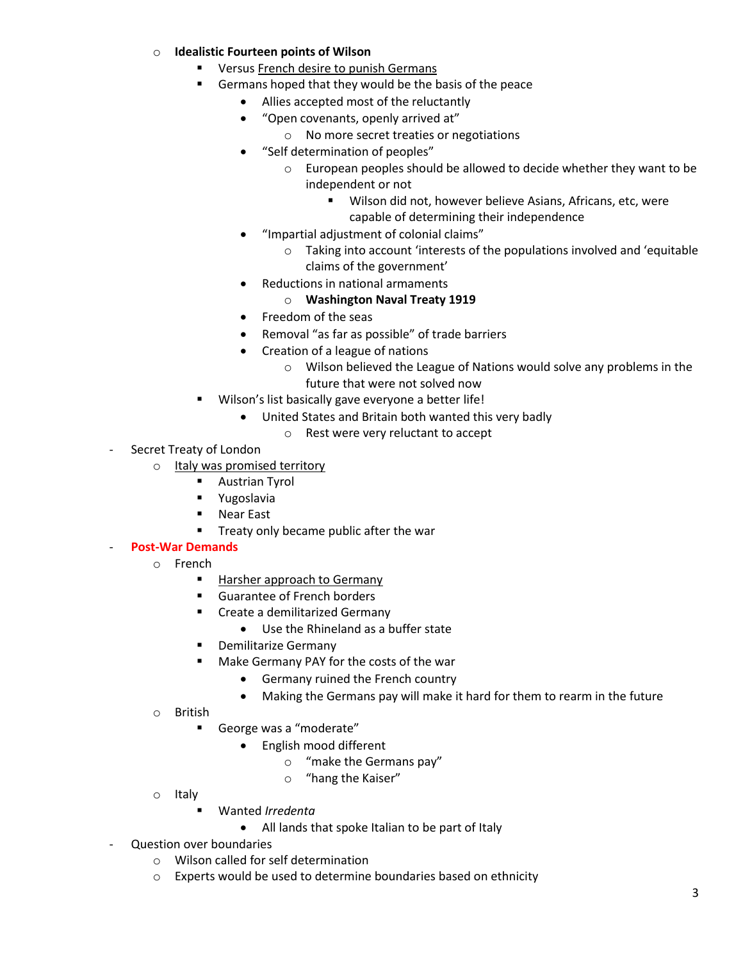#### o **Idealistic Fourteen points of Wilson**

- Versus French desire to punish Germans
- Germans hoped that they would be the basis of the peace
	- Allies accepted most of the reluctantly
	- "Open covenants, openly arrived at"
		- o No more secret treaties or negotiations
	- "Self determination of peoples"
		- o European peoples should be allowed to decide whether they want to be independent or not
			- Wilson did not, however believe Asians, Africans, etc, were capable of determining their independence
	- "Impartial adjustment of colonial claims"
		- o Taking into account 'interests of the populations involved and 'equitable claims of the government'
	- Reductions in national armaments
		- o **Washington Naval Treaty 1919**
	- Freedom of the seas
	- Removal "as far as possible" of trade barriers
	- Creation of a league of nations
		- o Wilson believed the League of Nations would solve any problems in the future that were not solved now
- Wilson's list basically gave everyone a better life!
	- United States and Britain both wanted this very badly
		- o Rest were very reluctant to accept
- Secret Treaty of London
	- o Italy was promised territory
		- **Austrian Tyrol**
		- **•** Yugoslavia
		- Near East
		- **Treaty only became public after the war**

#### - **Post-War Demands**

- o French
	- Harsher approach to Germany
	- Guarantee of French borders
	- **EXECTE:** Create a demilitarized Germany
		- Use the Rhineland as a buffer state
	- **•** Demilitarize Germany
	- **Make Germany PAY for the costs of the war** 
		- Germany ruined the French country
		- Making the Germans pay will make it hard for them to rearm in the future
- o British
	- George was a "moderate"
		- English mood different
			- o "make the Germans pay"
			- o "hang the Kaiser"
- o Italy
	- Wanted *Irredenta*
		- All lands that spoke Italian to be part of Italy
- Question over boundaries
	- o Wilson called for self determination
	- o Experts would be used to determine boundaries based on ethnicity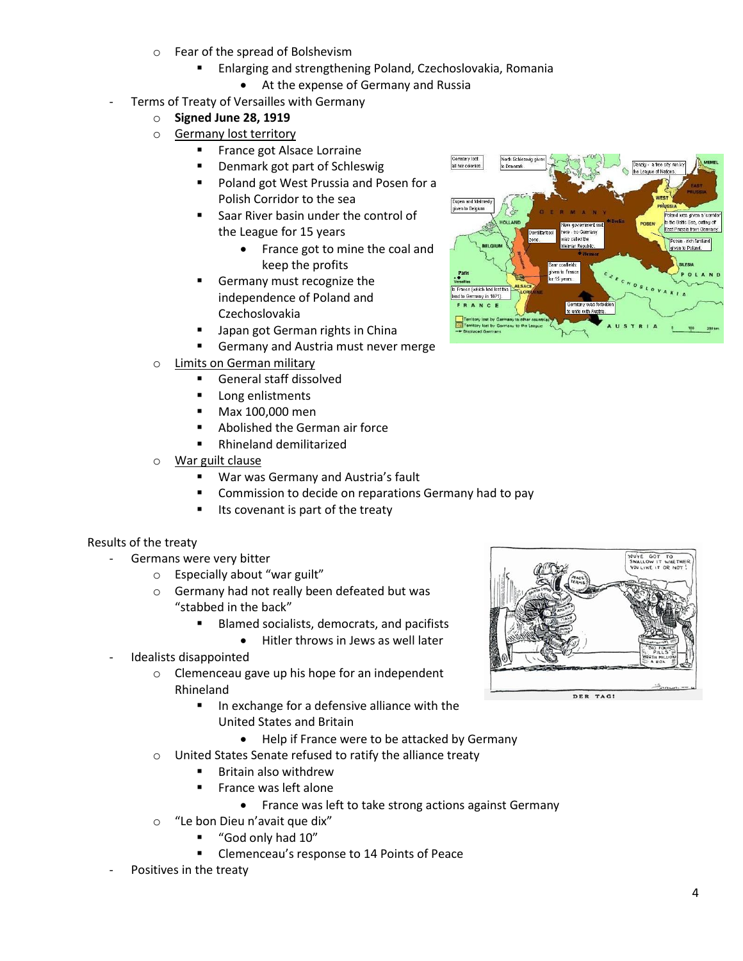- o Fear of the spread of Bolshevism
	- Enlarging and strengthening Poland, Czechoslovakia, Romania
		- At the expense of Germany and Russia
- Terms of Treaty of Versailles with Germany
	- o **Signed June 28, 1919**
	- o Germany lost territory
		- **France got Alsace Lorraine**
		- Denmark got part of Schleswig
		- Poland got West Prussia and Posen for a Polish Corridor to the sea
		- Saar River basin under the control of the League for 15 years
			- France got to mine the coal and keep the profits
		- Germany must recognize the independence of Poland and Czechoslovakia
		- Japan got German rights in China
		- Germany and Austria must never merge
	- o Limits on German military
		- General staff dissolved
		- **Long enlistments**
		- Max 100,000 men
		- **Abolished the German air force**
		- Rhineland demilitarized
	- o War guilt clause
		- War was Germany and Austria's fault
		- Commission to decide on reparations Germany had to pay
		- Its covenant is part of the treaty

#### Results of the treaty

- Germans were very bitter
	- o Especially about "war guilt"
	- o Germany had not really been defeated but was "stabbed in the back"
		- Blamed socialists, democrats, and pacifists
			- Hitler throws in Jews as well later
- Idealists disappointed
	- o Clemenceau gave up his hope for an independent Rhineland
		- In exchange for a defensive alliance with the United States and Britain
			- Help if France were to be attacked by Germany
	- o United States Senate refused to ratify the alliance treaty
		- Britain also withdrew
		- **France was left alone** 
			- France was left to take strong actions against Germany
	- o "Le bon Dieu n'avait que dix"
		- "God only had 10"
		- **EXEC** Clemenceau's response to 14 Points of Peace
- Positives in the treaty



DER TAG!